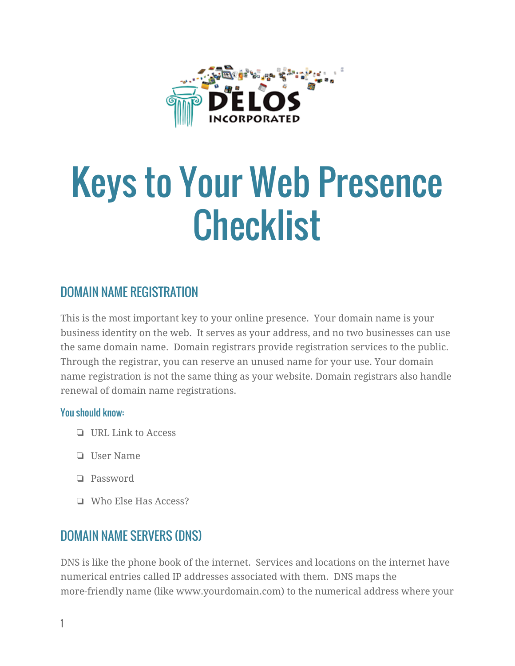

# Keys to Your Web Presence **Checklist**

## DOMAIN NAME REGISTRATION

This is the most important key to your online presence. Your domain name is your business identity on the web. It serves as your address, and no two businesses can use the same domain name. Domain registrars provide registration services to the public. Through the registrar, you can reserve an unused name for your use. Your domain name registration is not the same thing as your website. Domain registrars also handle renewal of domain name registrations.

#### You should know:

- ❏ URL Link to Access
- ❏ User Name
- ❏ Password
- ❏ Who Else Has Access?

## DOMAIN NAME SERVERS (DNS)

DNS is like the phone book of the internet. Services and locations on the internet have numerical entries called IP addresses associated with them. DNS maps the more-friendly name (like www.yourdomain.com) to the numerical address where your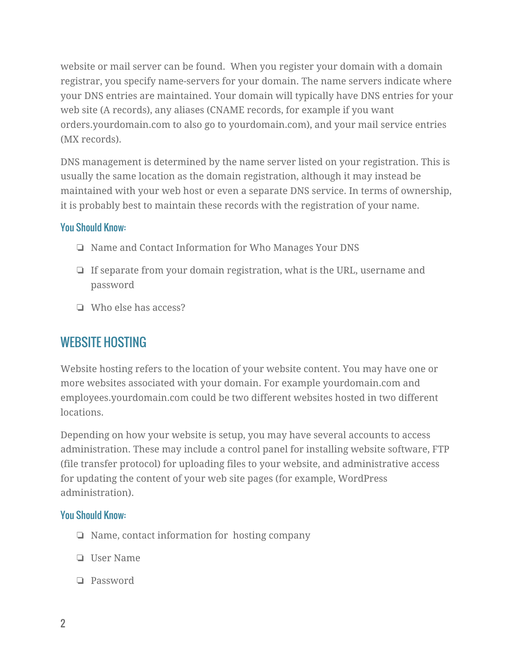website or mail server can be found. When you register your domain with a domain registrar, you specify name-servers for your domain. The name servers indicate where your DNS entries are maintained. Your domain will typically have DNS entries for your web site (A records), any aliases (CNAME records, for example if you want orders.yourdomain.com to also go to yourdomain.com), and your mail service entries (MX records).

DNS management is determined by the name server listed on your registration. This is usually the same location as the domain registration, although it may instead be maintained with your web host or even a separate DNS service. In terms of ownership, it is probably best to maintain these records with the registration of your name.

#### You Should Know:

- ❏ Name and Contact Information for Who Manages Your DNS
- ❏ If separate from your domain registration, what is the URL, username and password
- ❏ Who else has access?

## WEBSITE HOSTING

Website hosting refers to the location of your website content. You may have one or more websites associated with your domain. For example yourdomain.com and employees.yourdomain.com could be two different websites hosted in two different locations.

Depending on how your website is setup, you may have several accounts to access administration. These may include a control panel for installing website software, FTP (file transfer protocol) for uploading files to your website, and administrative access for updating the content of your web site pages (for example, WordPress administration).

- ❏ Name, contact information for hosting company
- ❏ User Name
- ❏ Password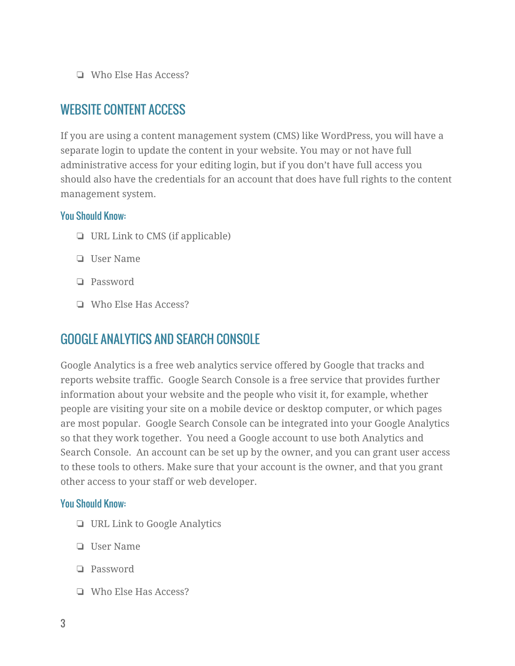❏ Who Else Has Access?

### WEBSITE CONTENT ACCESS

If you are using a content management system (CMS) like WordPress, you will have a separate login to update the content in your website. You may or not have full administrative access for your editing login, but if you don't have full access you should also have the credentials for an account that does have full rights to the content management system.

#### You Should Know:

- ❏ URL Link to CMS (if applicable)
- ❏ User Name
- ❏ Password
- ❏ Who Else Has Access?

## GOOGLE ANALYTICS AND SEARCH CONSOLE

Google Analytics is a free web analytics service offered by Google that tracks and reports website traffic. Google Search Console is a free service that provides further information about your website and the people who visit it, for example, whether people are visiting your site on a mobile device or desktop computer, or which pages are most popular. Google Search Console can be integrated into your Google Analytics so that they work together. You need a Google account to use both Analytics and Search Console. An account can be set up by the owner, and you can grant user access to these tools to others. Make sure that your account is the owner, and that you grant other access to your staff or web developer.

- ❏ URL Link to Google Analytics
- ❏ User Name
- ❏ Password
- ❏ Who Else Has Access?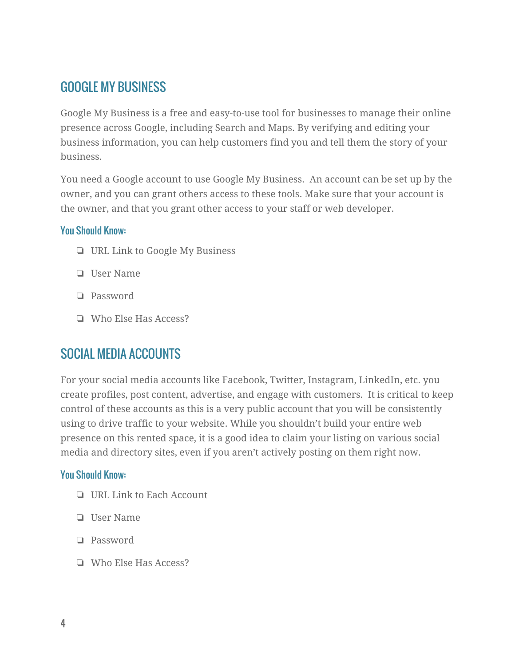## GOOGLE MY BUSINESS

Google My Business is a free and easy-to-use tool for businesses to manage their online presence across Google, including Search and Maps. By verifying and editing your business information, you can help customers find you and tell them the story of your business.

You need a Google account to use Google My Business. An account can be set up by the owner, and you can grant others access to these tools. Make sure that your account is the owner, and that you grant other access to your staff or web developer.

#### You Should Know:

- ❏ URL Link to Google My Business
- ❏ User Name
- ❏ Password
- ❏ Who Else Has Access?

## SOCIAL MEDIA ACCOUNTS

For your social media accounts like Facebook, Twitter, Instagram, LinkedIn, etc. you create profiles, post content, advertise, and engage with customers. It is critical to keep control of these accounts as this is a very public account that you will be consistently using to drive traffic to your website. While you shouldn't build your entire web presence on this rented space, it is a good idea to claim your listing on various social media and directory sites, even if you aren't actively posting on them right now.

- ❏ URL Link to Each Account
- ❏ User Name
- ❏ Password
- ❏ Who Else Has Access?